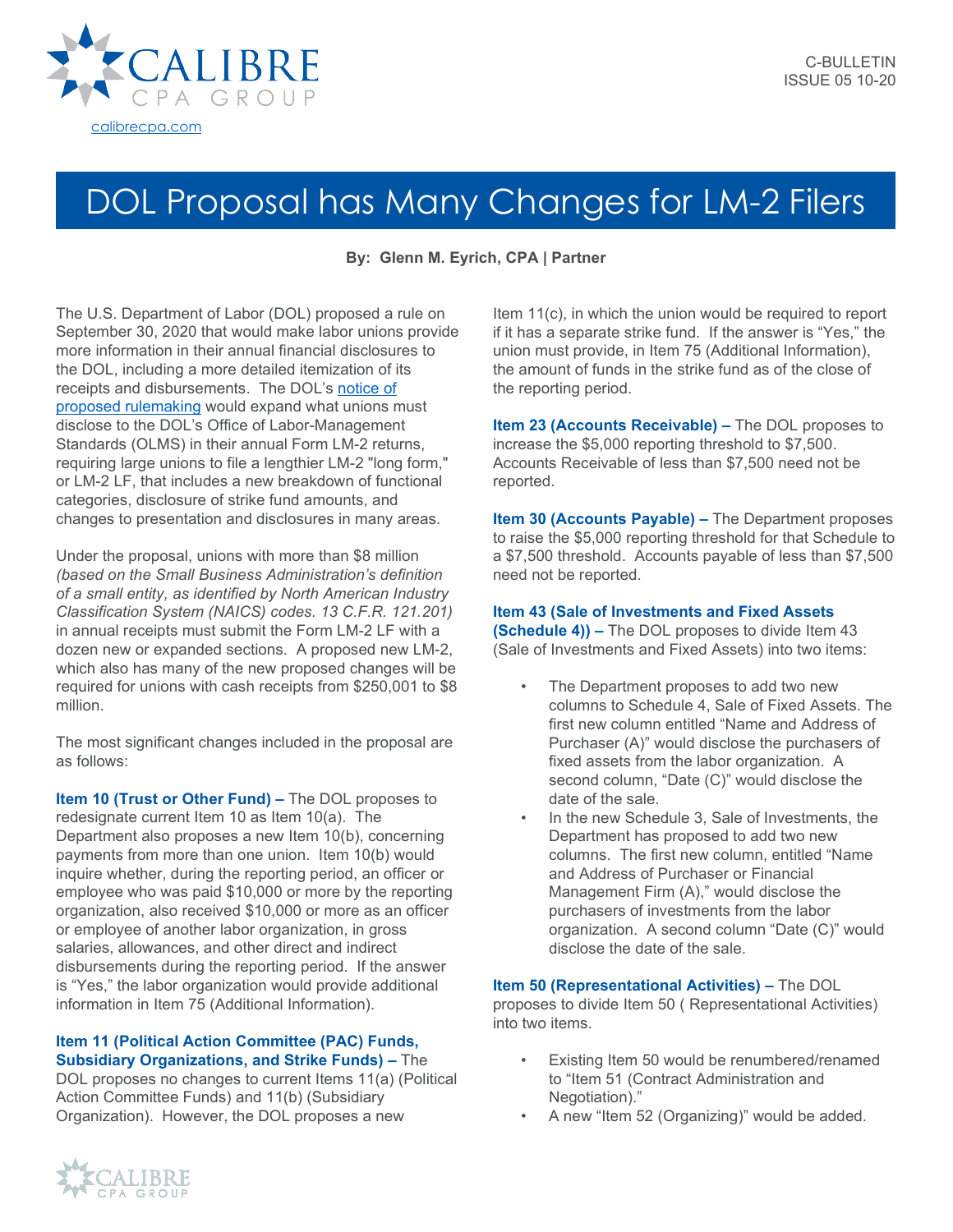

[calibrecpa.com](http://calibrecpa.com/)

# DOL Proposal has Many Changes for LM-2 Filers

**By: Glenn M. Eyrich, CPA | Partner**

The U.S. Department of Labor (DOL) proposed a rule on September 30, 2020 that would make labor unions provide more information in their annual financial disclosures to the DOL, including a more detailed itemization of its receipts and disbursements. The DOL's [notice of](https://www.dol.gov/sites/dolgov/files/olms/OLMS_LM-2_NPRM_final.pdf)  [proposed rulemaking](https://www.dol.gov/sites/dolgov/files/olms/OLMS_LM-2_NPRM_final.pdf) would expand what unions must disclose to the DOL's Office of Labor-Management Standards (OLMS) in their annual Form LM-2 returns, requiring large unions to file a lengthier LM-2 "long form," or LM-2 LF, that includes a new breakdown of functional categories, disclosure of strike fund amounts, and changes to presentation and disclosures in many areas.

Under the proposal, unions with more than \$8 million *(based on the Small Business Administration's definition of a small entity, as identified by North American Industry Classification System (NAICS) codes. 13 C.F.R. 121.201)* in annual receipts must submit the Form LM-2 LF with a dozen new or expanded sections. A proposed new LM-2, which also has many of the new proposed changes will be required for unions with cash receipts from \$250,001 to \$8 million.

The most significant changes included in the proposal are as follows:

**Item 10 (Trust or Other Fund) –** The DOL proposes to redesignate current Item 10 as Item 10(a). The Department also proposes a new Item 10(b), concerning payments from more than one union. Item 10(b) would inquire whether, during the reporting period, an officer or employee who was paid \$10,000 or more by the reporting organization, also received \$10,000 or more as an officer or employee of another labor organization, in gross salaries, allowances, and other direct and indirect disbursements during the reporting period. If the answer is "Yes," the labor organization would provide additional information in Item 75 (Additional Information).

## **Item 11 (Political Action Committee (PAC) Funds, Subsidiary Organizations, and Strike Funds) –** The

DOL proposes no changes to current Items 11(a) (Political Action Committee Funds) and 11(b) (Subsidiary Organization). However, the DOL proposes a new

Item 11(c), in which the union would be required to report if it has a separate strike fund. If the answer is "Yes," the union must provide, in Item 75 (Additional Information), the amount of funds in the strike fund as of the close of the reporting period.

**Item 23 (Accounts Receivable) –** The DOL proposes to increase the \$5,000 reporting threshold to \$7,500. Accounts Receivable of less than \$7,500 need not be reported.

**Item 30 (Accounts Payable) –** The Department proposes to raise the \$5,000 reporting threshold for that Schedule to a \$7,500 threshold. Accounts payable of less than \$7,500 need not be reported.

# **Item 43 (Sale of Investments and Fixed Assets**

**(Schedule 4)) –** The DOL proposes to divide Item 43 (Sale of Investments and Fixed Assets) into two items:

- The Department proposes to add two new columns to Schedule 4, Sale of Fixed Assets. The first new column entitled "Name and Address of Purchaser (A)" would disclose the purchasers of fixed assets from the labor organization. A second column, "Date (C)" would disclose the date of the sale.
- In the new Schedule 3, Sale of Investments, the Department has proposed to add two new columns. The first new column, entitled "Name and Address of Purchaser or Financial Management Firm (A)," would disclose the purchasers of investments from the labor organization. A second column "Date (C)" would disclose the date of the sale.

**Item 50 (Representational Activities) –** The DOL proposes to divide Item 50 ( Representational Activities) into two items.

- Existing Item 50 would be renumbered/renamed to "Item 51 (Contract Administration and Negotiation)."
- A new "Item 52 (Organizing)" would be added.